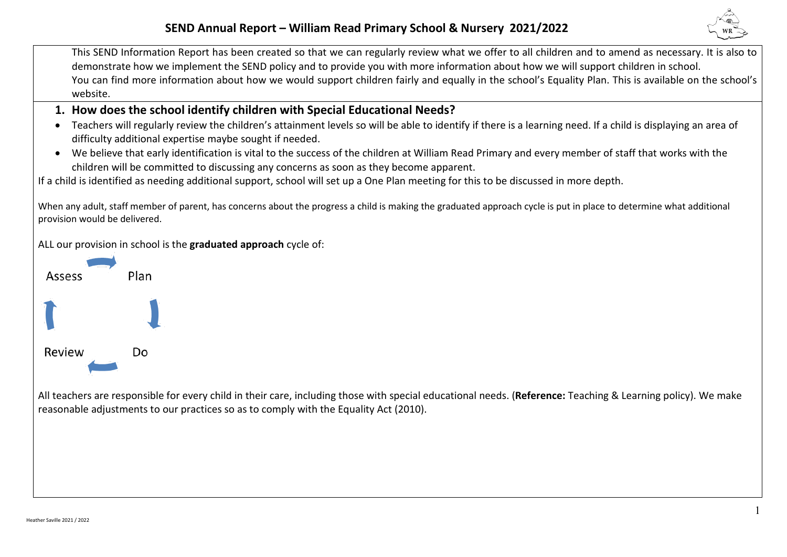

This SEND Information Report has been created so that we can regularly review what we offer to all children and to amend as necessary. It is also to demonstrate how we implement the SEND policy and to provide you with more information about how we will support children in school. You can find more information about how we would support children fairly and equally in the school's Equality Plan. This is available on the school's website.

### **1. How does the school identify children with Special Educational Needs?**

- Teachers will regularly review the children's attainment levels so will be able to identify if there is a learning need. If a child is displaying an area of difficulty additional expertise maybe sought if needed.
- We believe that early identification is vital to the success of the children at William Read Primary and every member of staff that works with the children will be committed to discussing any concerns as soon as they become apparent.

If a child is identified as needing additional support, school will set up a One Plan meeting for this to be discussed in more depth.

When any adult, staff member of parent, has concerns about the progress a child is making the graduated approach cycle is put in place to determine what additional provision would be delivered.

ALL our provision in school is the **graduated approach** cycle of:



All teachers are responsible for every child in their care, including those with special educational needs. (**Reference:** Teaching & Learning policy). We make reasonable adjustments to our practices so as to comply with the Equality Act (2010).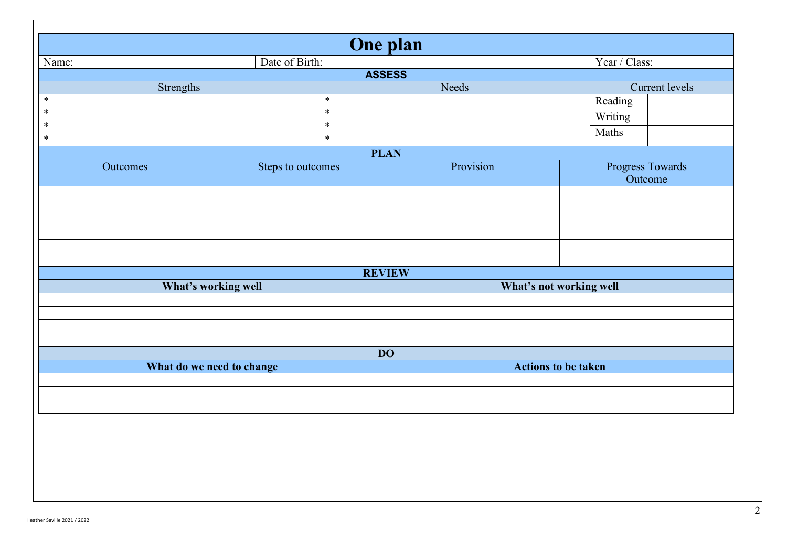|               |                           | One plan          |                            |                             |  |  |  |  |  |
|---------------|---------------------------|-------------------|----------------------------|-----------------------------|--|--|--|--|--|
| Name:         |                           | Date of Birth:    |                            | Year / Class:               |  |  |  |  |  |
|               |                           | <b>ASSESS</b>     |                            |                             |  |  |  |  |  |
|               | Strengths                 |                   | Needs                      | Current levels              |  |  |  |  |  |
| $*$<br>$\ast$ |                           | $\ast$<br>$\ast$  |                            | Reading                     |  |  |  |  |  |
| $\ast$        |                           | $\ast$            |                            | Writing                     |  |  |  |  |  |
| $\ast$        |                           | $\ast$            |                            | Maths                       |  |  |  |  |  |
|               |                           | <b>PLAN</b>       |                            |                             |  |  |  |  |  |
|               | Outcomes                  | Steps to outcomes | Provision                  | Progress Towards<br>Outcome |  |  |  |  |  |
|               |                           |                   |                            |                             |  |  |  |  |  |
|               |                           |                   |                            |                             |  |  |  |  |  |
|               |                           |                   |                            |                             |  |  |  |  |  |
|               |                           |                   |                            |                             |  |  |  |  |  |
|               |                           | <b>REVIEW</b>     |                            |                             |  |  |  |  |  |
|               | What's working well       |                   | What's not working well    |                             |  |  |  |  |  |
|               |                           |                   |                            |                             |  |  |  |  |  |
|               |                           |                   |                            |                             |  |  |  |  |  |
|               |                           |                   |                            |                             |  |  |  |  |  |
|               |                           | <b>DO</b>         |                            |                             |  |  |  |  |  |
|               | What do we need to change |                   | <b>Actions to be taken</b> |                             |  |  |  |  |  |
|               |                           |                   |                            |                             |  |  |  |  |  |
|               |                           |                   |                            |                             |  |  |  |  |  |
|               |                           |                   |                            |                             |  |  |  |  |  |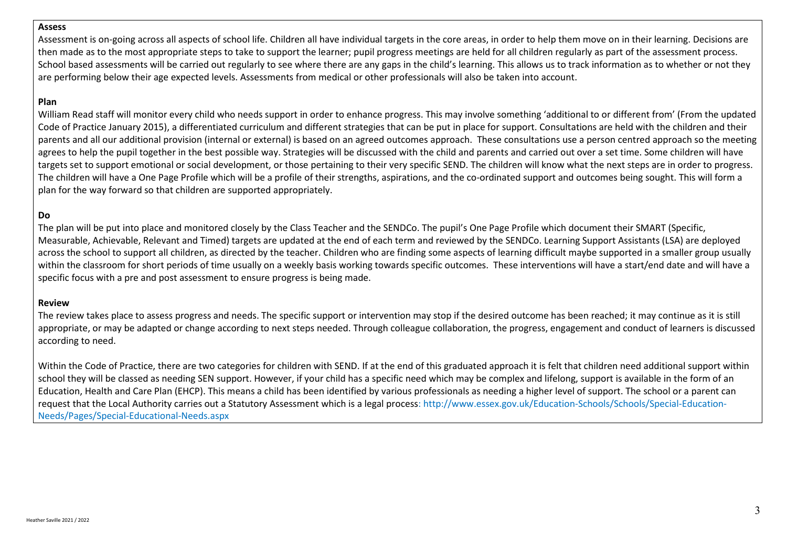#### **Assess**

Assessment is on-going across all aspects of school life. Children all have individual targets in the core areas, in order to help them move on in their learning. Decisions are then made as to the most appropriate steps to take to support the learner; pupil progress meetings are held for all children regularly as part of the assessment process. School based assessments will be carried out regularly to see where there are any gaps in the child's learning. This allows us to track information as to whether or not they are performing below their age expected levels. Assessments from medical or other professionals will also be taken into account.

#### **Plan**

William Read staff will monitor every child who needs support in order to enhance progress. This may involve something 'additional to or different from' (From the updated Code of Practice January 2015), a differentiated curriculum and different strategies that can be put in place for support. Consultations are held with the children and their parents and all our additional provision (internal or external) is based on an agreed outcomes approach. These consultations use a person centred approach so the meeting agrees to help the pupil together in the best possible way. Strategies will be discussed with the child and parents and carried out over a set time. Some children will have targets set to support emotional or social development, or those pertaining to their very specific SEND. The children will know what the next steps are in order to progress. The children will have a One Page Profile which will be a profile of their strengths, aspirations, and the co-ordinated support and outcomes being sought. This will form a plan for the way forward so that children are supported appropriately.

#### **Do**

The plan will be put into place and monitored closely by the Class Teacher and the SENDCo. The pupil's One Page Profile which document their SMART (Specific, Measurable, Achievable, Relevant and Timed) targets are updated at the end of each term and reviewed by the SENDCo. Learning Support Assistants (LSA) are deployed across the school to support all children, as directed by the teacher. Children who are finding some aspects of learning difficult maybe supported in a smaller group usually within the classroom for short periods of time usually on a weekly basis working towards specific outcomes. These interventions will have a start/end date and will have a specific focus with a pre and post assessment to ensure progress is being made.

#### **Review**

The review takes place to assess progress and needs. The specific support or intervention may stop if the desired outcome has been reached; it may continue as it is still appropriate, or may be adapted or change according to next steps needed. Through colleague collaboration, the progress, engagement and conduct of learners is discussed according to need.

Within the Code of Practice, there are two categories for children with SEND. If at the end of this graduated approach it is felt that children need additional support within school they will be classed as needing SEN support. However, if your child has a specific need which may be complex and lifelong, support is available in the form of an Education, Health and Care Plan (EHCP). This means a child has been identified by various professionals as needing a higher level of support. The school or a parent can request that the Local Authority carries out a Statutory Assessment which is a legal process: http://www.essex.gov.uk/Education-Schools/Schools/Special-Education-Needs/Pages/Special-Educational-Needs.aspx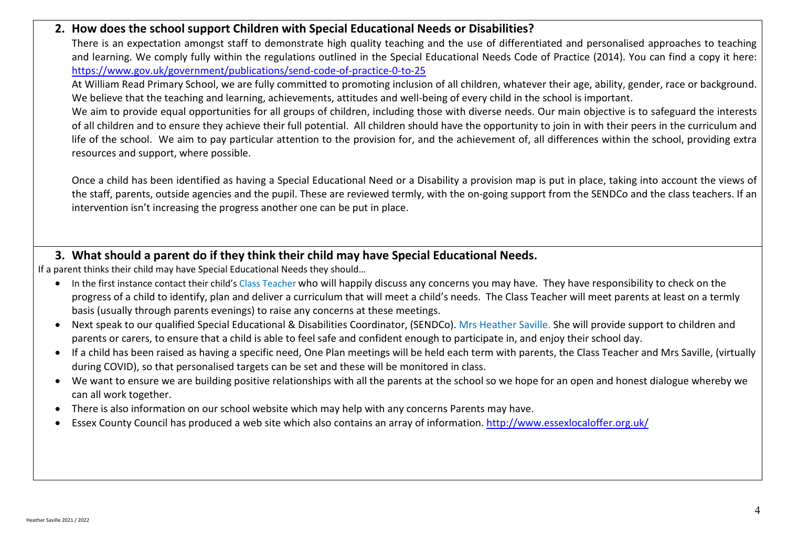#### **2. How does the school support Children with Special Educational Needs or Disabilities?**

There is an expectation amongst staff to demonstrate high quality teaching and the use of differentiated and personalised approaches to teaching and learning. We comply fully within the regulations outlined in the Special Educational Needs Code of Practice (2014). You can find a copy it here: <https://www.gov.uk/government/publications/send-code-of-practice-0-to-25>

At William Read Primary School, we are fully committed to promoting inclusion of all children, whatever their age, ability, gender, race or background. We believe that the teaching and learning, achievements, attitudes and well-being of every child in the school is important.

We aim to provide equal opportunities for all groups of children, including those with diverse needs. Our main objective is to safeguard the interests of all children and to ensure they achieve their full potential. All children should have the opportunity to join in with their peers in the curriculum and life of the school. We aim to pay particular attention to the provision for, and the achievement of, all differences within the school, providing extra resources and support, where possible.

Once a child has been identified as having a Special Educational Need or a Disability a provision map is put in place, taking into account the views of the staff, parents, outside agencies and the pupil. These are reviewed termly, with the on-going support from the SENDCo and the class teachers. If an intervention isn't increasing the progress another one can be put in place.

#### **3. What should a parent do if they think their child may have Special Educational Needs.**

If a parent thinks their child may have Special Educational Needs they should…

- In the first instance contact their child's Class Teacher who will happily discuss any concerns you may have. They have responsibility to check on the progress of a child to identify, plan and deliver a curriculum that will meet a child's needs. The Class Teacher will meet parents at least on a termly basis (usually through parents evenings) to raise any concerns at these meetings.
- Next speak to our qualified Special Educational & Disabilities Coordinator, (SENDCo). Mrs Heather Saville. She will provide support to children and parents or carers, to ensure that a child is able to feel safe and confident enough to participate in, and enjoy their school day.
- If a child has been raised as having a specific need, One Plan meetings will be held each term with parents, the Class Teacher and Mrs Saville, (virtually during COVID), so that personalised targets can be set and these will be monitored in class.
- We want to ensure we are building positive relationships with all the parents at the school so we hope for an open and honest dialogue whereby we can all work together.
- There is also information on our school website which may help with any concerns Parents may have.
- Essex County Council has produced a web site which also contains an array of information.<http://www.essexlocaloffer.org.uk/>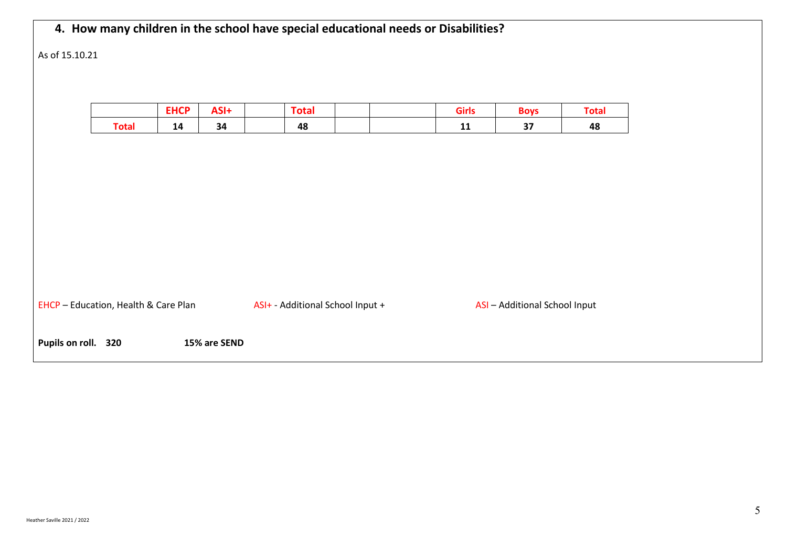## **4. How many children in the school have special educational needs or Disabilities?**

As of 15.10.21

|              | FIIAN<br>нци | 80 E B<br>ASI+ | 'lai | <b>Girls</b> | אמ            | `otal |
|--------------|--------------|----------------|------|--------------|---------------|-------|
| <b>Cotal</b> |              | 34             | 48   | --           | $\sim$ $\sim$ | 48    |

EHCP – Education, Health & Care Plan ASI+ - Additional School Input + ASI – Additional School Input

**Pupils on roll. 320 15% are SEND**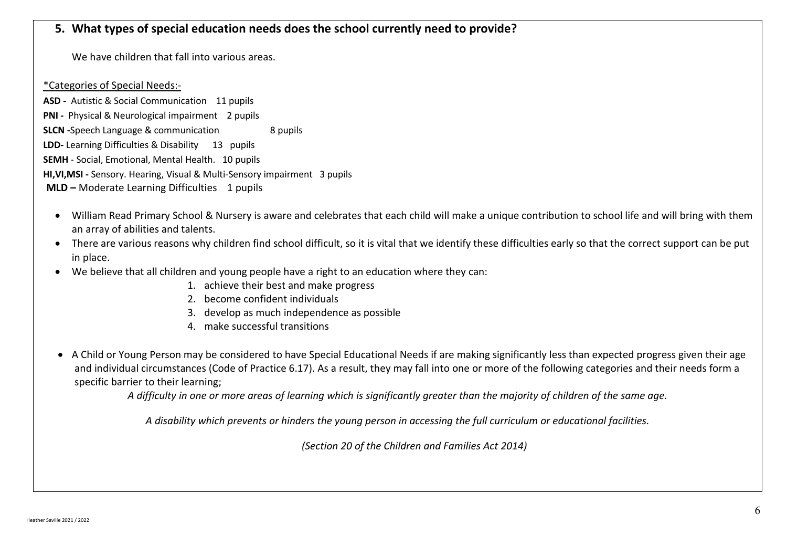#### **5. What types of special education needs does the school currently need to provide?**

We have children that fall into various areas.

#### \*Categories of Special Needs:-

**ASD -** Autistic & Social Communication 11 pupils **PNI -** Physical & Neurological impairment 2 pupils **SLCN** -Speech Language & communication 8 pupils **LDD-** Learning Difficulties & Disability 13 pupils **SEMH** - Social, Emotional, Mental Health. 10 pupils **HI,VI,MSI -** Sensory. Hearing, Visual & Multi-Sensory impairment 3 pupils **MLD –** Moderate Learning Difficulties 1 pupils

- William Read Primary School & Nursery is aware and celebrates that each child will make a unique contribution to school life and will bring with them an array of abilities and talents.
- There are various reasons why children find school difficult, so it is vital that we identify these difficulties early so that the correct support can be put in place.
- We believe that all children and young people have a right to an education where they can:
	- 1. achieve their best and make progress
	- 2. become confident individuals
	- 3. develop as much independence as possible
	- 4. make successful transitions
- A Child or Young Person may be considered to have Special Educational Needs if are making significantly less than expected progress given their age and individual circumstances (Code of Practice 6.17). As a result, they may fall into one or more of the following categories and their needs form a specific barrier to their learning;

*A difficulty in one or more areas of learning which is significantly greater than the majority of children of the same age.*

*A disability which prevents or hinders the young person in accessing the full curriculum or educational facilities.*

*(Section 20 of the Children and Families Act 2014)*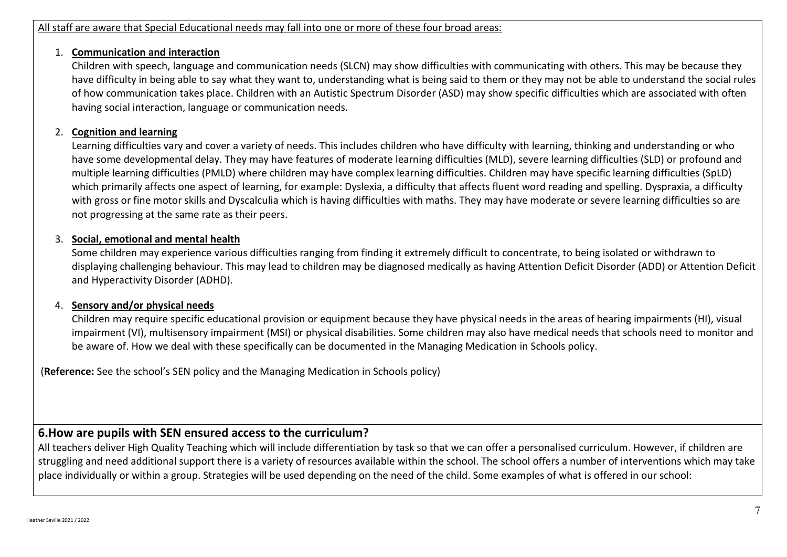#### 1. **Communication and interaction**

Children with speech, language and communication needs (SLCN) may show difficulties with communicating with others. This may be because they have difficulty in being able to say what they want to, understanding what is being said to them or they may not be able to understand the social rules of how communication takes place. Children with an Autistic Spectrum Disorder (ASD) may show specific difficulties which are associated with often having social interaction, language or communication needs.

### 2. **Cognition and learning**

Learning difficulties vary and cover a variety of needs. This includes children who have difficulty with learning, thinking and understanding or who have some developmental delay. They may have features of moderate learning difficulties (MLD), severe learning difficulties (SLD) or profound and multiple learning difficulties (PMLD) where children may have complex learning difficulties. Children may have specific learning difficulties (SpLD) which primarily affects one aspect of learning, for example: Dyslexia, a difficulty that affects fluent word reading and spelling. Dyspraxia, a difficulty with gross or fine motor skills and Dyscalculia which is having difficulties with maths. They may have moderate or severe learning difficulties so are not progressing at the same rate as their peers.

#### 3. **Social, emotional and mental health**

Some children may experience various difficulties ranging from finding it extremely difficult to concentrate, to being isolated or withdrawn to displaying challenging behaviour. This may lead to children may be diagnosed medically as having Attention Deficit Disorder (ADD) or Attention Deficit and Hyperactivity Disorder (ADHD).

### 4. **Sensory and/or physical needs**

Children may require specific educational provision or equipment because they have physical needs in the areas of hearing impairments (HI), visual impairment (VI), multisensory impairment (MSI) or physical disabilities. Some children may also have medical needs that schools need to monitor and be aware of. How we deal with these specifically can be documented in the Managing Medication in Schools policy.

(**Reference:** See the school's SEN policy and the Managing Medication in Schools policy)

# **6.How are pupils with SEN ensured access to the curriculum?**

All teachers deliver High Quality Teaching which will include differentiation by task so that we can offer a personalised curriculum. However, if children are struggling and need additional support there is a variety of resources available within the school. The school offers a number of interventions which may take place individually or within a group. Strategies will be used depending on the need of the child. Some examples of what is offered in our school: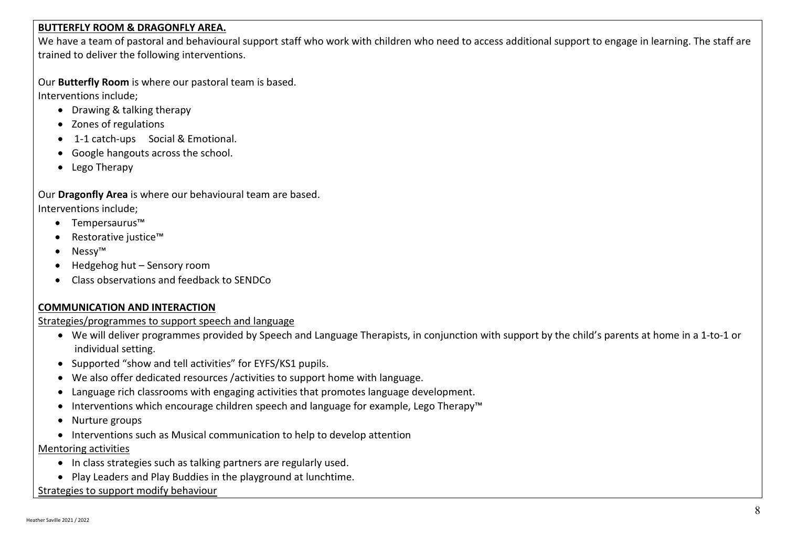#### **BUTTERFLY ROOM & DRAGONFLY AREA.**

We have a team of pastoral and behavioural support staff who work with children who need to access additional support to engage in learning. The staff are trained to deliver the following interventions.

Our **Butterfly Room** is where our pastoral team is based. Interventions include;

- Drawing & talking therapy
- Zones of regulations
- 1-1 catch-ups Social & Emotional.
- Google hangouts across the school.
- Lego Therapy

Our **Dragonfly Area** is where our behavioural team are based. Interventions include;

- Tempersaurus™
- Restorative justice™
- Nessy™
- Hedgehog hut Sensory room
- Class observations and feedback to SENDCo

#### **COMMUNICATION AND INTERACTION**

Strategies/programmes to support speech and language

- We will deliver programmes provided by Speech and Language Therapists, in conjunction with support by the child's parents at home in a 1-to-1 or individual setting.
- Supported "show and tell activities" for EYFS/KS1 pupils.
- We also offer dedicated resources /activities to support home with language.
- Language rich classrooms with engaging activities that promotes language development.
- Interventions which encourage children speech and language for example, Lego Therapy™
- Nurture groups
- Interventions such as Musical communication to help to develop attention

#### Mentoring activities

- In class strategies such as talking partners are regularly used.
- Play Leaders and Play Buddies in the playground at lunchtime.

#### Strategies to support modify behaviour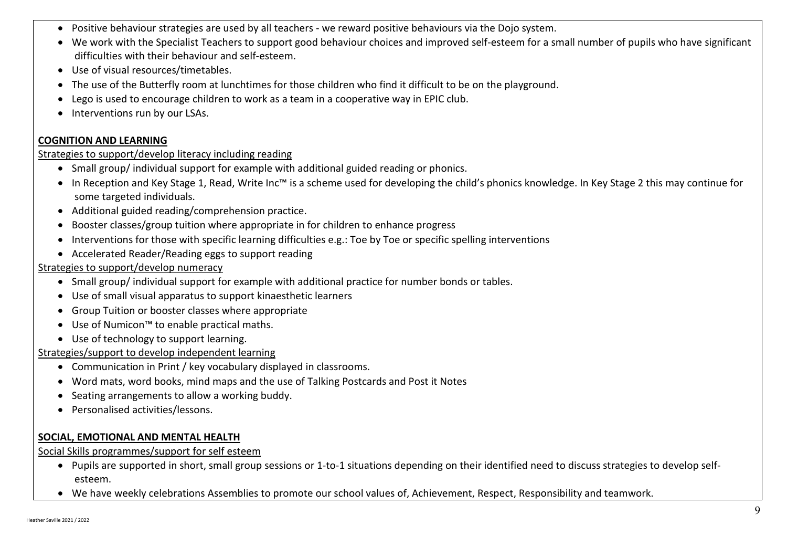- Positive behaviour strategies are used by all teachers we reward positive behaviours via the Dojo system.
- We work with the Specialist Teachers to support good behaviour choices and improved self-esteem for a small number of pupils who have significant difficulties with their behaviour and self-esteem.
- Use of visual resources/timetables.
- The use of the Butterfly room at lunchtimes for those children who find it difficult to be on the playground.
- Lego is used to encourage children to work as a team in a cooperative way in EPIC club.
- Interventions run by our LSAs.

#### **COGNITION AND LEARNING**

#### Strategies to support/develop literacy including reading

- Small group/ individual support for example with additional guided reading or phonics.
- In Reception and Key Stage 1, Read, Write Inc™ is a scheme used for developing the child's phonics knowledge. In Key Stage 2 this may continue for some targeted individuals.
- Additional guided reading/comprehension practice.
- Booster classes/group tuition where appropriate in for children to enhance progress
- Interventions for those with specific learning difficulties e.g.: Toe by Toe or specific spelling interventions
- Accelerated Reader/Reading eggs to support reading

#### Strategies to support/develop numeracy

- Small group/ individual support for example with additional practice for number bonds or tables.
- Use of small visual apparatus to support kinaesthetic learners
- Group Tuition or booster classes where appropriate
- Use of Numicon™ to enable practical maths.
- Use of technology to support learning.

#### Strategies/support to develop independent learning

- Communication in Print / key vocabulary displayed in classrooms.
- Word mats, word books, mind maps and the use of Talking Postcards and Post it Notes
- Seating arrangements to allow a working buddy.
- Personalised activities/lessons.

#### **SOCIAL, EMOTIONAL AND MENTAL HEALTH**

#### Social Skills programmes/support for self esteem

- Pupils are supported in short, small group sessions or 1-to-1 situations depending on their identified need to discuss strategies to develop selfesteem.
- We have weekly celebrations Assemblies to promote our school values of, Achievement, Respect, Responsibility and teamwork.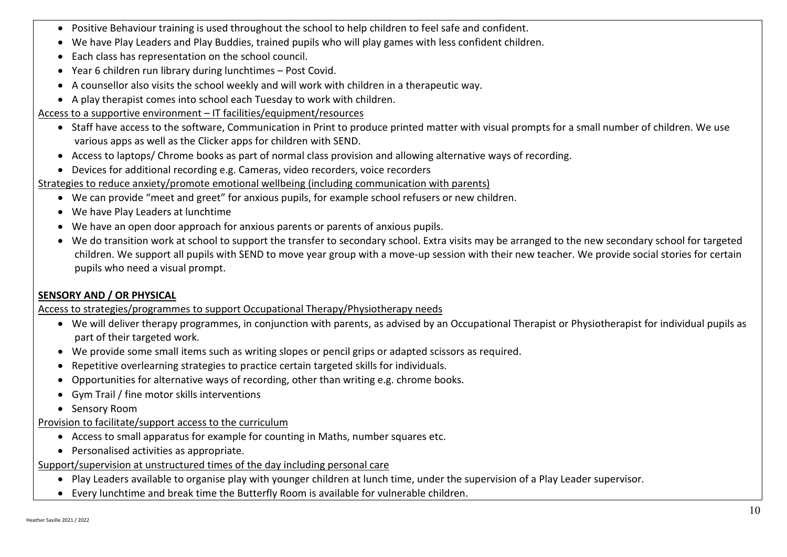- Positive Behaviour training is used throughout the school to help children to feel safe and confident.
- We have Play Leaders and Play Buddies, trained pupils who will play games with less confident children.
- Each class has representation on the school council.
- Year 6 children run library during lunchtimes Post Covid.
- A counsellor also visits the school weekly and will work with children in a therapeutic way.
- A play therapist comes into school each Tuesday to work with children.

#### Access to a supportive environment – IT facilities/equipment/resources

- Staff have access to the software, Communication in Print to produce printed matter with visual prompts for a small number of children. We use various apps as well as the Clicker apps for children with SEND.
- Access to laptops/ Chrome books as part of normal class provision and allowing alternative ways of recording.
- Devices for additional recording e.g. Cameras, video recorders, voice recorders

#### Strategies to reduce anxiety/promote emotional wellbeing (including communication with parents)

- We can provide "meet and greet" for anxious pupils, for example school refusers or new children.
- We have Play Leaders at lunchtime
- We have an open door approach for anxious parents or parents of anxious pupils.
- We do transition work at school to support the transfer to secondary school. Extra visits may be arranged to the new secondary school for targeted children. We support all pupils with SEND to move year group with a move-up session with their new teacher. We provide social stories for certain pupils who need a visual prompt.

#### **SENSORY AND / OR PHYSICAL**

#### Access to strategies/programmes to support Occupational Therapy/Physiotherapy needs

- We will deliver therapy programmes, in conjunction with parents, as advised by an Occupational Therapist or Physiotherapist for individual pupils as part of their targeted work.
- We provide some small items such as writing slopes or pencil grips or adapted scissors as required.
- Repetitive overlearning strategies to practice certain targeted skills for individuals.
- Opportunities for alternative ways of recording, other than writing e.g. chrome books.
- Gym Trail / fine motor skills interventions
- Sensory Room

#### Provision to facilitate/support access to the curriculum

- Access to small apparatus for example for counting in Maths, number squares etc.
- Personalised activities as appropriate.

#### Support/supervision at unstructured times of the day including personal care

- Play Leaders available to organise play with younger children at lunch time, under the supervision of a Play Leader supervisor.
- Every lunchtime and break time the Butterfly Room is available for vulnerable children.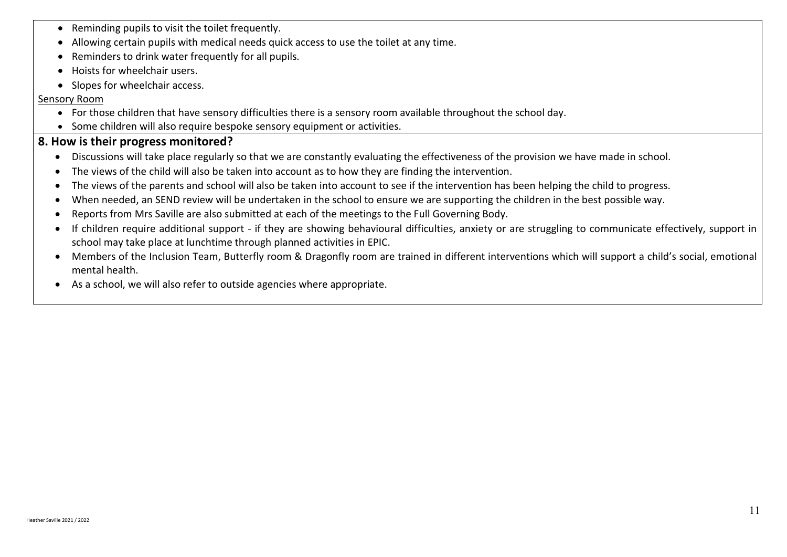- Reminding pupils to visit the toilet frequently.
- Allowing certain pupils with medical needs quick access to use the toilet at any time.
- Reminders to drink water frequently for all pupils.
- Hoists for wheelchair users.
- Slopes for wheelchair access.

#### Sensory Room

- For those children that have sensory difficulties there is a sensory room available throughout the school day.
- Some children will also require bespoke sensory equipment or activities.

### **8. How is their progress monitored?**

- Discussions will take place regularly so that we are constantly evaluating the effectiveness of the provision we have made in school.
- The views of the child will also be taken into account as to how they are finding the intervention.
- The views of the parents and school will also be taken into account to see if the intervention has been helping the child to progress.
- When needed, an SEND review will be undertaken in the school to ensure we are supporting the children in the best possible way.
- Reports from Mrs Saville are also submitted at each of the meetings to the Full Governing Body.
- If children require additional support if they are showing behavioural difficulties, anxiety or are struggling to communicate effectively, support in school may take place at lunchtime through planned activities in EPIC.
- Members of the Inclusion Team, Butterfly room & Dragonfly room are trained in different interventions which will support a child's social, emotional mental health.
- As a school, we will also refer to outside agencies where appropriate.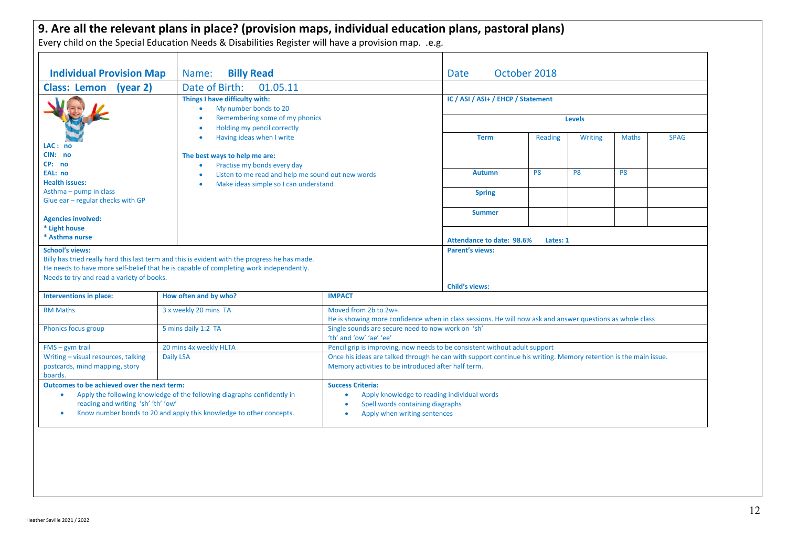## **9. Are all the relevant plans in place? (provision maps, individual education plans, pastoral plans)**

Every child on the Special Education Needs & Disabilities Register will have a provision map. .e.g.

| <b>Individual Provision Map</b>                                                                | <b>Billy Read</b><br>Name:                                                                                                                                                              | October 2018<br><b>Date</b>                                                                                                                                            |                                                                                                                 |                |                |                |             |  |  |  |
|------------------------------------------------------------------------------------------------|-----------------------------------------------------------------------------------------------------------------------------------------------------------------------------------------|------------------------------------------------------------------------------------------------------------------------------------------------------------------------|-----------------------------------------------------------------------------------------------------------------|----------------|----------------|----------------|-------------|--|--|--|
| <b>Class: Lemon</b><br>(year 2)                                                                | Date of Birth:<br>01.05.11                                                                                                                                                              |                                                                                                                                                                        |                                                                                                                 |                |                |                |             |  |  |  |
|                                                                                                | Things I have difficulty with:<br>My number bonds to 20<br>$\bullet$                                                                                                                    |                                                                                                                                                                        | IC / ASI / ASI+ / EHCP / Statement                                                                              |                |                |                |             |  |  |  |
|                                                                                                | Remembering some of my phonics<br>Holding my pencil correctly                                                                                                                           |                                                                                                                                                                        | <b>Levels</b>                                                                                                   |                |                |                |             |  |  |  |
| LAC: no                                                                                        | Having ideas when I write<br>٠                                                                                                                                                          |                                                                                                                                                                        | <b>Term</b>                                                                                                     | Reading        | Writing        | <b>Maths</b>   | <b>SPAG</b> |  |  |  |
| CIN: no<br>CP: no                                                                              | The best ways to help me are:<br>Practise my bonds every day<br>$\bullet$                                                                                                               |                                                                                                                                                                        |                                                                                                                 |                |                |                |             |  |  |  |
| EAL: no<br><b>Health issues:</b>                                                               | Listen to me read and help me sound out new words<br>Make ideas simple so I can understand                                                                                              |                                                                                                                                                                        | <b>Autumn</b>                                                                                                   | P <sub>8</sub> | P <sub>8</sub> | P <sub>8</sub> |             |  |  |  |
| Asthma - pump in class<br>Glue ear - regular checks with GP                                    |                                                                                                                                                                                         |                                                                                                                                                                        | <b>Spring</b>                                                                                                   |                |                |                |             |  |  |  |
| <b>Agencies involved:</b>                                                                      |                                                                                                                                                                                         |                                                                                                                                                                        | <b>Summer</b>                                                                                                   |                |                |                |             |  |  |  |
| * Light house<br>* Asthma nurse                                                                |                                                                                                                                                                                         |                                                                                                                                                                        | <b>Attendance to date: 98.6%</b><br>Lates: 1                                                                    |                |                |                |             |  |  |  |
| <b>School's views:</b><br>Needs to try and read a variety of books.                            | Billy has tried really hard this last term and this is evident with the progress he has made.<br>He needs to have more self-belief that he is capable of completing work independently. |                                                                                                                                                                        | <b>Parent's views:</b><br><b>Child's views:</b>                                                                 |                |                |                |             |  |  |  |
| Interventions in place:                                                                        | How often and by who?                                                                                                                                                                   | <b>IMPACT</b>                                                                                                                                                          |                                                                                                                 |                |                |                |             |  |  |  |
| <b>RM Maths</b>                                                                                | 3 x weekly 20 mins TA                                                                                                                                                                   | Moved from 2b to 2w+.<br>He is showing more confidence when in class sessions. He will now ask and answer questions as whole class                                     |                                                                                                                 |                |                |                |             |  |  |  |
| Phonics focus group                                                                            | 5 mins daily 1:2 TA                                                                                                                                                                     | Single sounds are secure need to now work on 'sh'<br>'th' and 'ow' 'ae' 'ee'                                                                                           |                                                                                                                 |                |                |                |             |  |  |  |
| $FMS - gym \, trail$                                                                           | 20 mins 4x weekly HLTA                                                                                                                                                                  | Pencil grip is improving, now needs to be consistent without adult support                                                                                             |                                                                                                                 |                |                |                |             |  |  |  |
| Writing - visual resources, talking<br>postcards, mind mapping, story<br>boards.               | <b>Daily LSA</b>                                                                                                                                                                        | Once his ideas are talked through he can with support continue his writing. Memory retention is the main issue.<br>Memory activities to be introduced after half term. |                                                                                                                 |                |                |                |             |  |  |  |
| Outcomes to be achieved over the next term:<br>$\bullet$<br>reading and writing 'sh' 'th' 'ow' | Apply the following knowledge of the following diagraphs confidently in<br>Know number bonds to 20 and apply this knowledge to other concepts.                                          | <b>Success Criteria:</b><br>$\bullet$<br>۰<br>۰                                                                                                                        | Apply knowledge to reading individual words<br>Spell words containing diagraphs<br>Apply when writing sentences |                |                |                |             |  |  |  |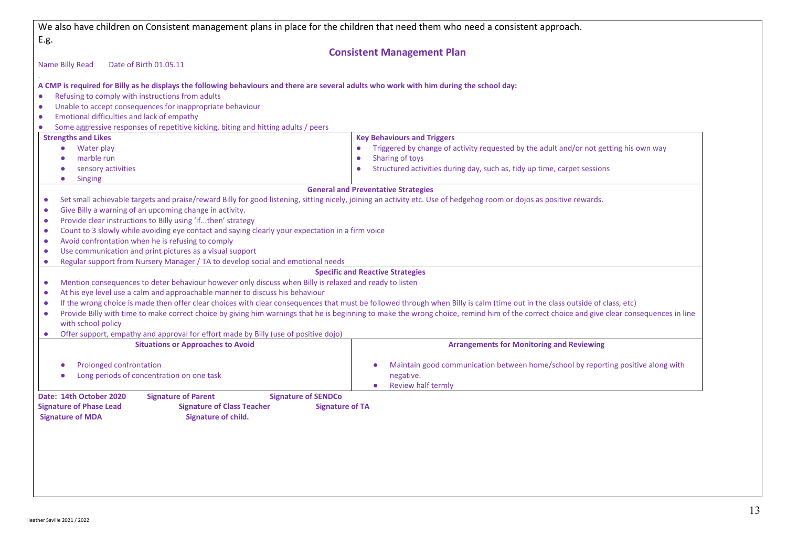| We also have children on Consistent management plans in place for the children that need them who need a consistent approach.                                                            |                                                                                                                                                                                           |
|------------------------------------------------------------------------------------------------------------------------------------------------------------------------------------------|-------------------------------------------------------------------------------------------------------------------------------------------------------------------------------------------|
| E.g.                                                                                                                                                                                     |                                                                                                                                                                                           |
|                                                                                                                                                                                          | <b>Consistent Management Plan</b>                                                                                                                                                         |
| Name Billy Read<br>Date of Birth 01.05.11                                                                                                                                                |                                                                                                                                                                                           |
|                                                                                                                                                                                          |                                                                                                                                                                                           |
| A CMP is required for Billy as he displays the following behaviours and there are several adults who work with him during the school day:                                                |                                                                                                                                                                                           |
| Refusing to comply with instructions from adults                                                                                                                                         |                                                                                                                                                                                           |
| Unable to accept consequences for inappropriate behaviour<br>$\bullet$                                                                                                                   |                                                                                                                                                                                           |
| Emotional difficulties and lack of empathy<br>$\bullet$                                                                                                                                  |                                                                                                                                                                                           |
| Some aggressive responses of repetitive kicking, biting and hitting adults / peers                                                                                                       |                                                                                                                                                                                           |
| <b>Strengths and Likes</b>                                                                                                                                                               | <b>Key Behaviours and Triggers</b>                                                                                                                                                        |
| Water play<br>$\bullet$                                                                                                                                                                  | Triggered by change of activity requested by the adult and/or not getting his own way<br>$\bullet$                                                                                        |
| marble run                                                                                                                                                                               | Sharing of toys<br>$\bullet$                                                                                                                                                              |
| sensory activities                                                                                                                                                                       | Structured activities during day, such as, tidy up time, carpet sessions<br>$\bullet$                                                                                                     |
| <b>Singing</b><br>$\bullet$                                                                                                                                                              |                                                                                                                                                                                           |
|                                                                                                                                                                                          | <b>General and Preventative Strategies</b>                                                                                                                                                |
| Set small achievable targets and praise/reward Billy for good listening, sitting nicely, joining an activity etc. Use of hedgehog room or dojos as positive rewards.<br>$\bullet$        |                                                                                                                                                                                           |
| Give Billy a warning of an upcoming change in activity.<br>$\bullet$                                                                                                                     |                                                                                                                                                                                           |
| Provide clear instructions to Billy using 'ifthen' strategy<br>$\bullet$                                                                                                                 |                                                                                                                                                                                           |
| Count to 3 slowly while avoiding eye contact and saying clearly your expectation in a firm voice<br>$\bullet$<br>Avoid confrontation when he is refusing to comply<br>$\bullet$          |                                                                                                                                                                                           |
| Use communication and print pictures as a visual support<br>$\bullet$                                                                                                                    |                                                                                                                                                                                           |
| Regular support from Nursery Manager / TA to develop social and emotional needs<br>$\bullet$                                                                                             |                                                                                                                                                                                           |
|                                                                                                                                                                                          | <b>Specific and Reactive Strategies</b>                                                                                                                                                   |
| Mention consequences to deter behaviour however only discuss when Billy is relaxed and ready to listen<br>$\bullet$                                                                      |                                                                                                                                                                                           |
| At his eye level use a calm and approachable manner to discuss his behaviour<br>$\bullet$                                                                                                |                                                                                                                                                                                           |
| If the wrong choice is made then offer clear choices with clear consequences that must be followed through when Billy is calm (time out in the class outside of class, etc)<br>$\bullet$ |                                                                                                                                                                                           |
| $\bullet$                                                                                                                                                                                | Provide Billy with time to make correct choice by giving him warnings that he is beginning to make the wrong choice, remind him of the correct choice and give clear consequences in line |
| with school policy                                                                                                                                                                       |                                                                                                                                                                                           |
| Offer support, empathy and approval for effort made by Billy (use of positive dojo)<br>$\bullet$                                                                                         |                                                                                                                                                                                           |
| <b>Situations or Approaches to Avoid</b>                                                                                                                                                 | <b>Arrangements for Monitoring and Reviewing</b>                                                                                                                                          |
|                                                                                                                                                                                          |                                                                                                                                                                                           |
| Prolonged confrontation                                                                                                                                                                  | Maintain good communication between home/school by reporting positive along with                                                                                                          |
| Long periods of concentration on one task                                                                                                                                                | negative.                                                                                                                                                                                 |
|                                                                                                                                                                                          | Review half termly                                                                                                                                                                        |
| Date: 14th October 2020<br><b>Signature of Parent</b><br><b>Signature of SENDCo</b>                                                                                                      |                                                                                                                                                                                           |
| <b>Signature of Phase Lead</b><br><b>Signature of Class Teacher</b><br><b>Signature of TA</b>                                                                                            |                                                                                                                                                                                           |
| <b>Signature of MDA</b><br>Signature of child.                                                                                                                                           |                                                                                                                                                                                           |
|                                                                                                                                                                                          |                                                                                                                                                                                           |
|                                                                                                                                                                                          |                                                                                                                                                                                           |
|                                                                                                                                                                                          |                                                                                                                                                                                           |
|                                                                                                                                                                                          |                                                                                                                                                                                           |
|                                                                                                                                                                                          |                                                                                                                                                                                           |
|                                                                                                                                                                                          |                                                                                                                                                                                           |
|                                                                                                                                                                                          |                                                                                                                                                                                           |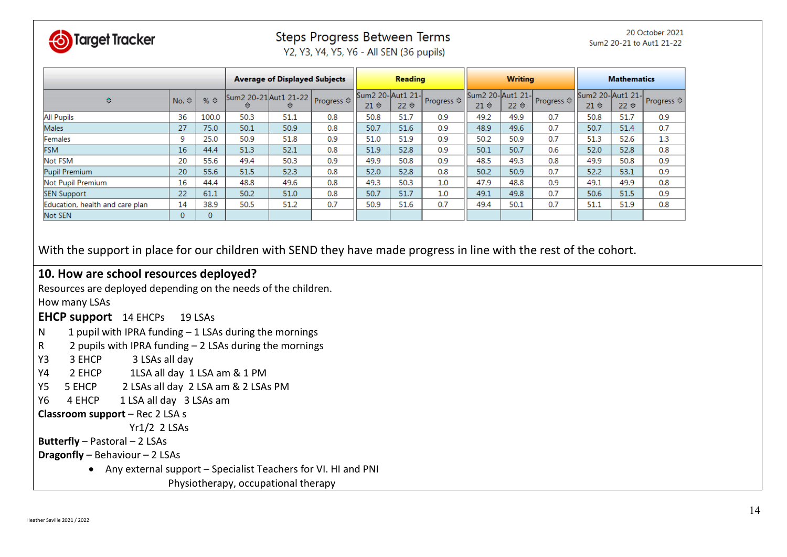

# **Steps Progress Between Terms**

Y2, Y3, Y4, Y5, Y6 - All SEN (36 pupils)

|                                 | <b>Average of Displayed Subjects</b> |                     |                                               | <b>Reading</b> |     |                          | <b>Writing</b> |                   |                                          | <b>Mathematics</b> |                       |                                           |           |                            |
|---------------------------------|--------------------------------------|---------------------|-----------------------------------------------|----------------|-----|--------------------------|----------------|-------------------|------------------------------------------|--------------------|-----------------------|-------------------------------------------|-----------|----------------------------|
| ⇔                               | No. $\Leftrightarrow$                | $% \Leftrightarrow$ | Sum2 20-21 Aut1 21-22 Progress $\ominus$<br>⇔ | ⇔              |     | Sum2 20-Aut1 21-<br>21 ⇔ | $22 \div$      | <b>Progress ↔</b> | Sum2 20-Aut1 21-<br>$21 \Leftrightarrow$ | $22 \div$          | $ $ Progress $\oplus$ | Sum2 20- Aut1 21-<br>$21 \Leftrightarrow$ | $22 \div$ | Progress $\Leftrightarrow$ |
| <b>All Pupils</b>               | 36                                   | 100.0               | 50.3                                          | 51.1           | 0.8 | 50.8                     | 51.7           | 0.9               | 49.2                                     | 49.9               | 0.7                   | 50.8                                      | 51.7      | 0.9                        |
| <b>Males</b>                    | 27                                   | 75.0                | 50.1                                          | 50.9           | 0.8 | 50.7                     | 51.6           | 0.9               | 48.9                                     | 49.6               | 0.7                   | 50.7                                      | 51.4      | 0.7                        |
| Females                         | 9                                    | 25.0                | 50.9                                          | 51.8           | 0.9 | 51.0                     | 51.9           | 0.9               | 50.2                                     | 50.9               | 0.7                   | 51.3                                      | 52.6      | 1.3                        |
| <b>FSM</b>                      | 16                                   | 44.4                | 51.3                                          | 52.1           | 0.8 | 51.9                     | 52.8           | 0.9               | 50.1                                     | 50.7               | 0.6                   | 52.0                                      | 52.8      | 0.8                        |
| Not FSM                         | 20                                   | 55.6                | 49.4                                          | 50.3           | 0.9 | 49.9                     | 50.8           | 0.9               | 48.5                                     | 49.3               | 0.8                   | 49.9                                      | 50.8      | 0.9                        |
| Pupil Premium                   | 20                                   | 55.6                | 51.5                                          | 52.3           | 0.8 | 52.0                     | 52.8           | 0.8               | 50.2                                     | 50.9               | 0.7                   | 52.2                                      | 53.1      | 0.9                        |
| Not Pupil Premium               | 16                                   | 44.4                | 48.8                                          | 49.6           | 0.8 | 49.3                     | 50.3           | 1.0               | 47.9                                     | 48.8               | 0.9                   | 49.1                                      | 49.9      | 0.8                        |
| <b>SEN Support</b>              | 22                                   | 61.1                | 50.2                                          | 51.0           | 0.8 | 50.7                     | 51.7           | 1.0               | 49.1                                     | 49.8               | 0.7                   | 50.6                                      | 51.5      | 0.9                        |
| Education, health and care plan | 14                                   | 38.9                | 50.5                                          | 51.2           | 0.7 | 50.9                     | 51.6           | 0.7               | 49.4                                     | 50.1               | 0.7                   | 51.1                                      | 51.9      | 0.8                        |
| <b>Not SEN</b>                  | $\mathbf{0}$                         | $\mathbf 0$         |                                               |                |     |                          |                |                   |                                          |                    |                       |                                           |           |                            |

With the support in place for our children with SEND they have made progress in line with the rest of the cohort.

### **10. How are school resources deployed?**

Resources are deployed depending on the needs of the children.

How many LSAs

#### **EHCP support** 14 EHCPs 19 LSAs

- $N = 1$  pupil with IPRA funding  $-1$  LSAs during the mornings
- R 2 pupils with IPRA funding 2 LSAs during the mornings
- Y3 3 EHCP 3 LSAs all day
- Y4 2 EHCP 1LSA all day 1 LSA am & 1 PM
- Y5 5 EHCP 2 LSAs all day 2 LSA am & 2 LSAs PM
- Y6 4 EHCP 1 LSA all day 3 LSAs am

#### **Classroom support** – Rec 2 LSA s

Yr1/2 2 LSAs

**Butterfly** – Pastoral – 2 LSAs

**Dragonfly** – Behaviour – 2 LSAs

• Any external support – Specialist Teachers for VI. HI and PNI

Physiotherapy, occupational therapy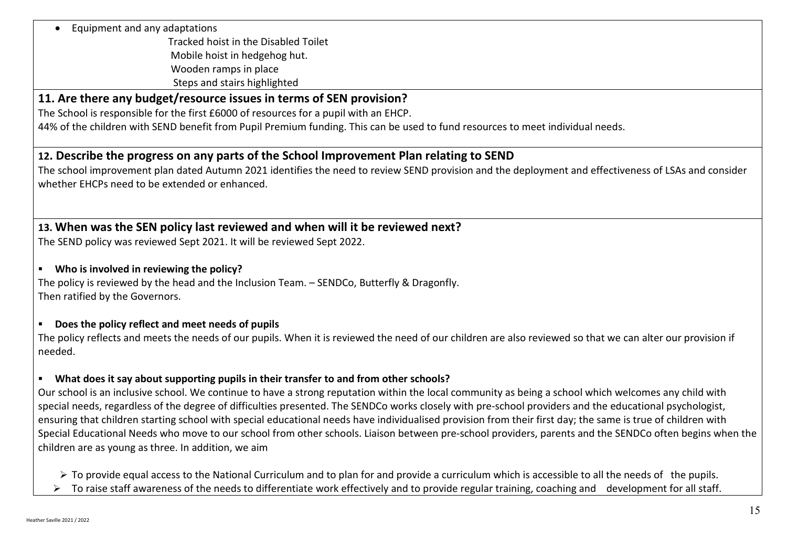• Equipment and any adaptations

 Tracked hoist in the Disabled Toilet Mobile hoist in hedgehog hut. Wooden ramps in place Steps and stairs highlighted

# **11. Are there any budget/resource issues in terms of SEN provision?**

The School is responsible for the first £6000 of resources for a pupil with an EHCP.

44% of the children with SEND benefit from Pupil Premium funding. This can be used to fund resources to meet individual needs.

# **12. Describe the progress on any parts of the School Improvement Plan relating to SEND**

The school improvement plan dated Autumn 2021 identifies the need to review SEND provision and the deployment and effectiveness of LSAs and consider whether EHCPs need to be extended or enhanced.

# **13. When was the SEN policy last reviewed and when will it be reviewed next?**

The SEND policy was reviewed Sept 2021. It will be reviewed Sept 2022.

## **Who is involved in reviewing the policy?**

The policy is reviewed by the head and the Inclusion Team. – SENDCo, Butterfly & Dragonfly. Then ratified by the Governors.

## **Does the policy reflect and meet needs of pupils**

The policy reflects and meets the needs of our pupils. When it is reviewed the need of our children are also reviewed so that we can alter our provision if needed.

# **What does it say about supporting pupils in their transfer to and from other schools?**

Our school is an inclusive school. We continue to have a strong reputation within the local community as being a school which welcomes any child with special needs, regardless of the degree of difficulties presented. The SENDCo works closely with pre-school providers and the educational psychologist, ensuring that children starting school with special educational needs have individualised provision from their first day; the same is true of children with Special Educational Needs who move to our school from other schools. Liaison between pre-school providers, parents and the SENDCo often begins when the children are as young as three. In addition, we aim

> To provide equal access to the National Curriculum and to plan for and provide a curriculum which is accessible to all the needs of the pupils.

Fo raise staff awareness of the needs to differentiate work effectively and to provide regular training, coaching and development for all staff.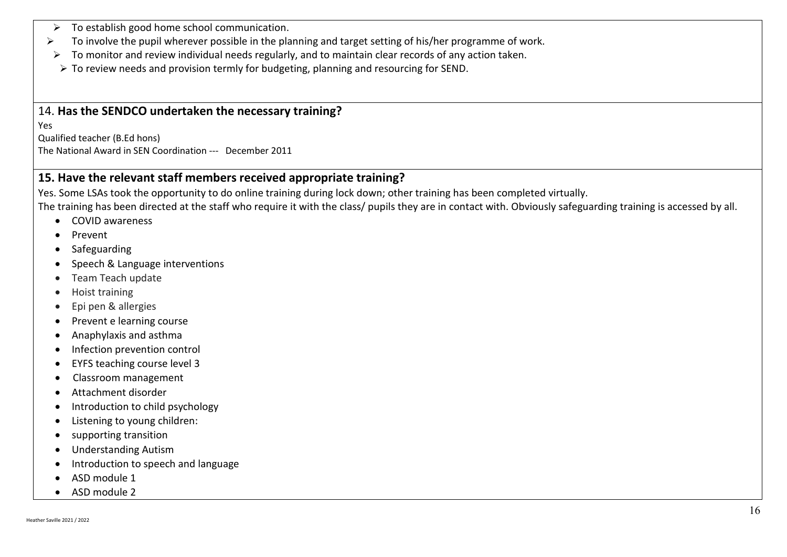- $\triangleright$  To establish good home school communication.
- $\triangleright$  To involve the pupil wherever possible in the planning and target setting of his/her programme of work.
- $\triangleright$  To monitor and review individual needs regularly, and to maintain clear records of any action taken.
- $\triangleright$  To review needs and provision termly for budgeting, planning and resourcing for SEND.

### 14. **Has the SENDCO undertaken the necessary training?**

Yes

Qualified teacher (B.Ed hons) The National Award in SEN Coordination --- December 2011

### **15. Have the relevant staff members received appropriate training?**

Yes. Some LSAs took the opportunity to do online training during lock down; other training has been completed virtually.

The training has been directed at the staff who require it with the class/ pupils they are in contact with. Obviously safeguarding training is accessed by all.

- COVID awareness
- Prevent
- Safeguarding
- Speech & Language interventions
- Team Teach update
- Hoist training
- Epi pen & allergies
- Prevent e learning course
- Anaphylaxis and asthma
- Infection prevention control
- EYFS teaching course level 3
- Classroom management
- Attachment disorder
- Introduction to child psychology
- Listening to young children:
- supporting transition
- Understanding Autism
- Introduction to speech and language
- ASD module 1
- ASD module 2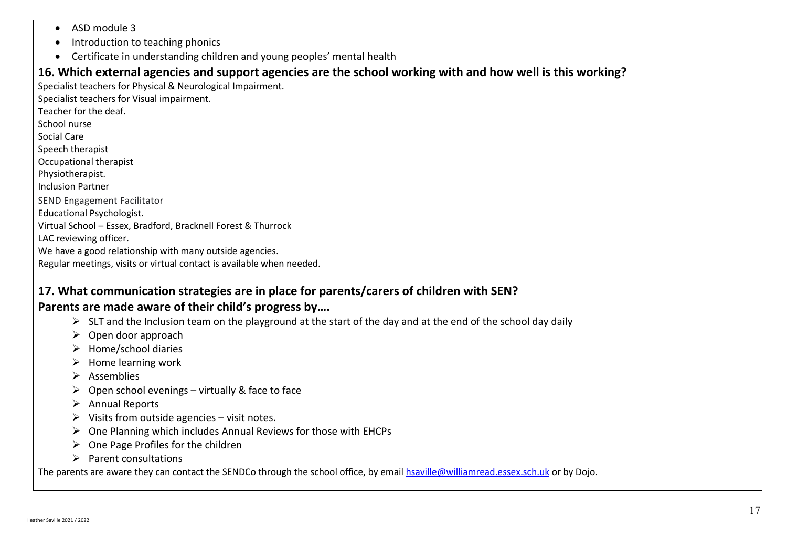- ASD module 3
- Introduction to teaching phonics
- Certificate in understanding children and young peoples' mental health

# **16. Which external agencies and support agencies are the school working with and how well is this working?**

Specialist teachers for Physical & Neurological Impairment.

Specialist teachers for Visual impairment.

Teacher for the deaf.

- School nurse
- Social Care
- Speech therapist
- Occupational therapist

Physiotherapist.

Inclusion Partner

SEND Engagement Facilitator

Educational Psychologist.

Virtual School – Essex, Bradford, Bracknell Forest & Thurrock

LAC reviewing officer.

We have a good relationship with many outside agencies.

Regular meetings, visits or virtual contact is available when needed.

## **17. What communication strategies are in place for parents/carers of children with SEN? Parents are made aware of their child's progress by….**

- $\triangleright$  SLT and the Inclusion team on the playground at the start of the day and at the end of the school day daily
- $\triangleright$  Open door approach
- $\triangleright$  Home/school diaries
- $\triangleright$  Home learning work
- $\triangleright$  Assemblies
- $\triangleright$  Open school evenings virtually & face to face
- $\triangleright$  Annual Reports
- $\triangleright$  Visits from outside agencies visit notes.
- $\triangleright$  One Planning which includes Annual Reviews for those with EHCPs
- $\triangleright$  One Page Profiles for the children
- $\triangleright$  Parent consultations

The parents are aware they can contact the SENDCo through the school office, by email [hsaville@williamread.essex.sch.uk](mailto:hsaville@williamread.essex.sch.uk) or by Dojo.